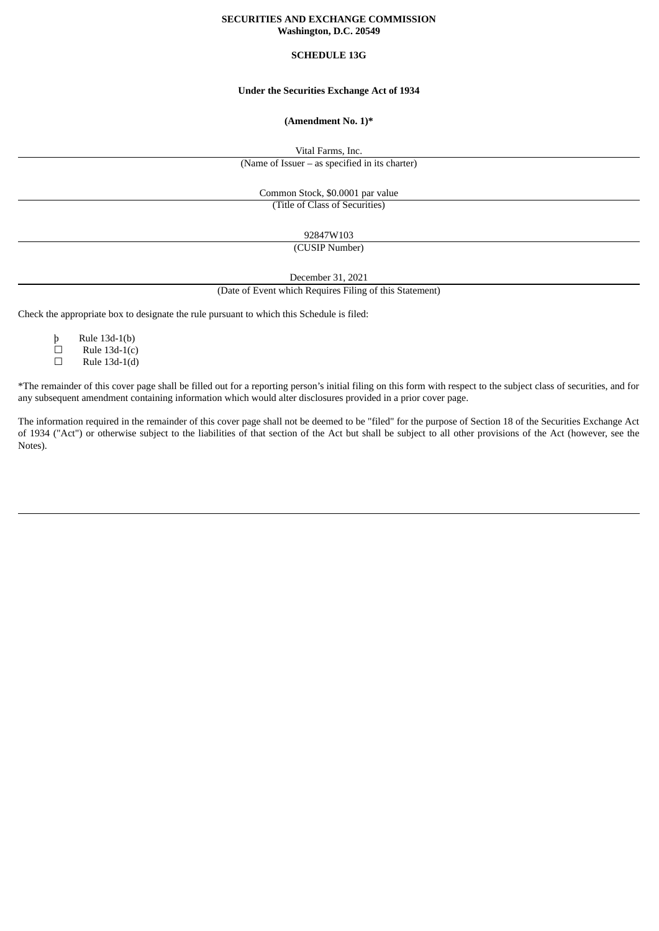## **SECURITIES AND EXCHANGE COMMISSION Washington, D.C. 20549**

## **SCHEDULE 13G**

## **Under the Securities Exchange Act of 1934**

### **(Amendment No. 1)\***

Vital Farms, Inc.

(Name of Issuer – as specified in its charter)

Common Stock, \$0.0001 par value (Title of Class of Securities)

92847W103

(CUSIP Number)

December 31, 2021

(Date of Event which Requires Filing of this Statement)

Check the appropriate box to designate the rule pursuant to which this Schedule is filed:

þ Rule 13d-1(b)

 $\Box$  Rule 13d-1(c)

 $\Box$  Rule 13d-1(d)

\*The remainder of this cover page shall be filled out for a reporting person's initial filing on this form with respect to the subject class of securities, and for any subsequent amendment containing information which would alter disclosures provided in a prior cover page.

The information required in the remainder of this cover page shall not be deemed to be "filed" for the purpose of Section 18 of the Securities Exchange Act of 1934 ("Act") or otherwise subject to the liabilities of that section of the Act but shall be subject to all other provisions of the Act (however, see the Notes).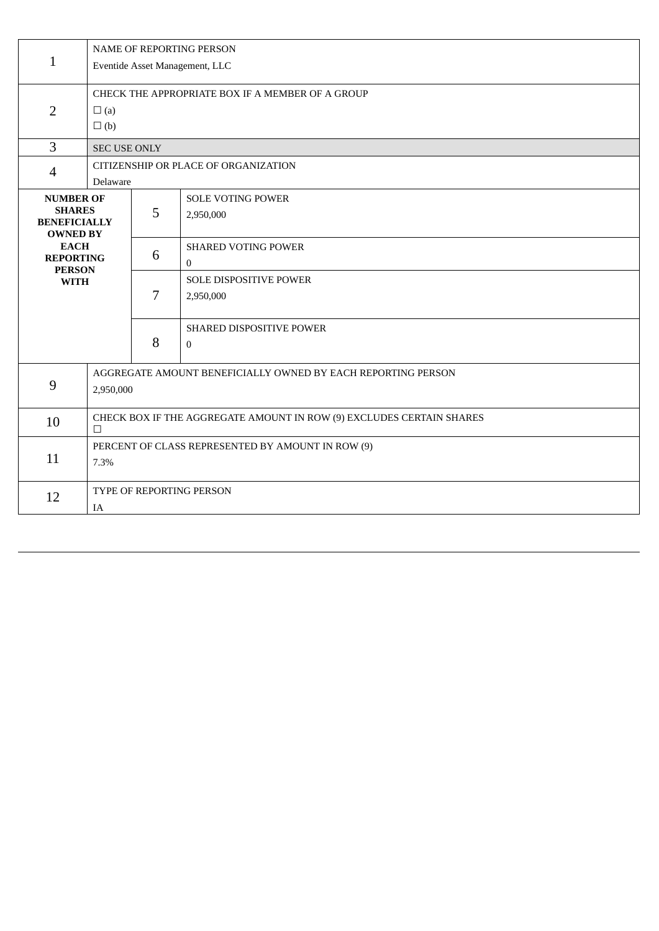| $\mathbf{1}$                                                                                                                                   | <b>NAME OF REPORTING PERSON</b><br>Eventide Asset Management, LLC               |                                                                           |                                          |  |  |  |
|------------------------------------------------------------------------------------------------------------------------------------------------|---------------------------------------------------------------------------------|---------------------------------------------------------------------------|------------------------------------------|--|--|--|
| $\overline{2}$                                                                                                                                 | CHECK THE APPROPRIATE BOX IF A MEMBER OF A GROUP<br>$\square$ (a)<br>$\Box$ (b) |                                                                           |                                          |  |  |  |
| $\overline{3}$                                                                                                                                 |                                                                                 | <b>SEC USE ONLY</b>                                                       |                                          |  |  |  |
| $\overline{4}$                                                                                                                                 | CITIZENSHIP OR PLACE OF ORGANIZATION<br>Delaware                                |                                                                           |                                          |  |  |  |
| <b>NUMBER OF</b><br><b>SHARES</b><br><b>BENEFICIALLY</b><br><b>OWNED BY</b><br><b>EACH</b><br><b>REPORTING</b><br><b>PERSON</b><br><b>WITH</b> |                                                                                 | 5                                                                         | <b>SOLE VOTING POWER</b><br>2,950,000    |  |  |  |
|                                                                                                                                                |                                                                                 | 6                                                                         | <b>SHARED VOTING POWER</b><br>$\Omega$   |  |  |  |
|                                                                                                                                                |                                                                                 | 7                                                                         | SOLE DISPOSITIVE POWER<br>2,950,000      |  |  |  |
|                                                                                                                                                |                                                                                 | 8                                                                         | SHARED DISPOSITIVE POWER<br>$\mathbf{0}$ |  |  |  |
| 9                                                                                                                                              |                                                                                 | AGGREGATE AMOUNT BENEFICIALLY OWNED BY EACH REPORTING PERSON<br>2,950,000 |                                          |  |  |  |
| 10                                                                                                                                             | CHECK BOX IF THE AGGREGATE AMOUNT IN ROW (9) EXCLUDES CERTAIN SHARES<br>$\Box$  |                                                                           |                                          |  |  |  |
| 11                                                                                                                                             | 7.3%                                                                            | PERCENT OF CLASS REPRESENTED BY AMOUNT IN ROW (9)                         |                                          |  |  |  |
| 12                                                                                                                                             | <b>TYPE OF REPORTING PERSON</b><br>IA                                           |                                                                           |                                          |  |  |  |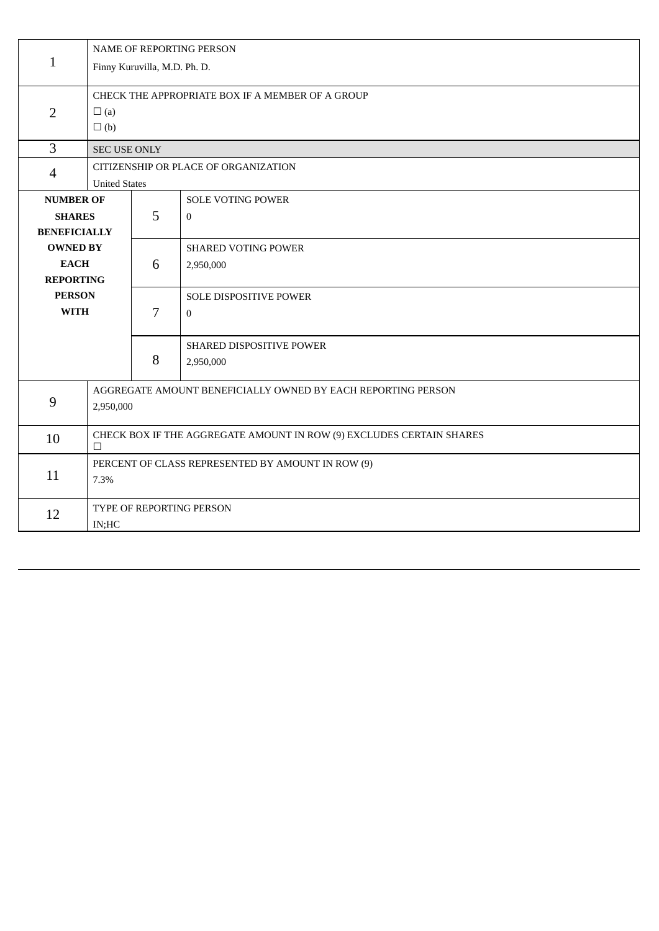| $\mathbf{1}$                      | NAME OF REPORTING PERSON                                                  |                                                   |                                            |  |  |  |  |
|-----------------------------------|---------------------------------------------------------------------------|---------------------------------------------------|--------------------------------------------|--|--|--|--|
|                                   | Finny Kuruvilla, M.D. Ph. D.                                              |                                                   |                                            |  |  |  |  |
|                                   | CHECK THE APPROPRIATE BOX IF A MEMBER OF A GROUP                          |                                                   |                                            |  |  |  |  |
| $\overline{2}$                    | $\square$ (a)                                                             |                                                   |                                            |  |  |  |  |
|                                   |                                                                           | $\square$ (b)                                     |                                            |  |  |  |  |
| 3                                 |                                                                           | <b>SEC USE ONLY</b>                               |                                            |  |  |  |  |
| $\overline{4}$                    | CITIZENSHIP OR PLACE OF ORGANIZATION                                      |                                                   |                                            |  |  |  |  |
|                                   |                                                                           | <b>United States</b>                              |                                            |  |  |  |  |
| <b>NUMBER OF</b><br><b>SHARES</b> |                                                                           | 5                                                 | <b>SOLE VOTING POWER</b><br>$\overline{0}$ |  |  |  |  |
| <b>BENEFICIALLY</b>               |                                                                           |                                                   |                                            |  |  |  |  |
|                                   | <b>OWNED BY</b>                                                           |                                                   | <b>SHARED VOTING POWER</b>                 |  |  |  |  |
|                                   | <b>EACH</b>                                                               |                                                   | 2,950,000                                  |  |  |  |  |
| <b>REPORTING</b>                  |                                                                           |                                                   |                                            |  |  |  |  |
| <b>PERSON</b>                     |                                                                           |                                                   | SOLE DISPOSITIVE POWER                     |  |  |  |  |
| <b>WITH</b>                       |                                                                           | 7                                                 | $\overline{0}$                             |  |  |  |  |
|                                   |                                                                           |                                                   | SHARED DISPOSITIVE POWER                   |  |  |  |  |
|                                   |                                                                           | 8                                                 | 2,950,000                                  |  |  |  |  |
| $9\,$                             | AGGREGATE AMOUNT BENEFICIALLY OWNED BY EACH REPORTING PERSON              |                                                   |                                            |  |  |  |  |
|                                   | 2,950,000                                                                 |                                                   |                                            |  |  |  |  |
|                                   |                                                                           |                                                   |                                            |  |  |  |  |
| 10                                | CHECK BOX IF THE AGGREGATE AMOUNT IN ROW (9) EXCLUDES CERTAIN SHARES<br>□ |                                                   |                                            |  |  |  |  |
|                                   |                                                                           | PERCENT OF CLASS REPRESENTED BY AMOUNT IN ROW (9) |                                            |  |  |  |  |
| 11                                | 7.3%                                                                      |                                                   |                                            |  |  |  |  |
| 12                                | TYPE OF REPORTING PERSON                                                  |                                                   |                                            |  |  |  |  |
|                                   | IN;HC                                                                     |                                                   |                                            |  |  |  |  |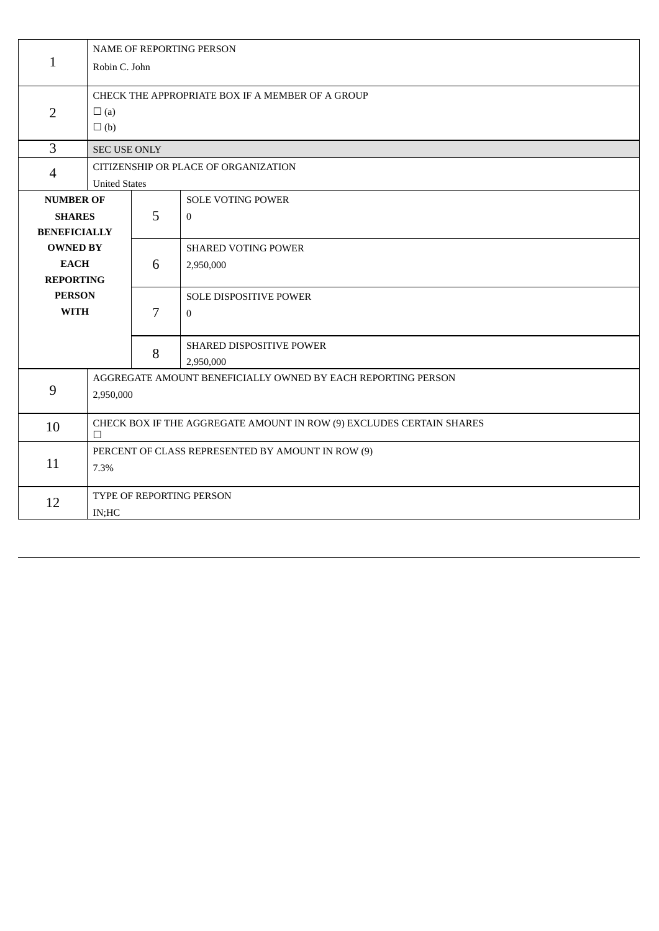|                     | NAME OF REPORTING PERSON                                             |                      |                                                  |  |  |  |
|---------------------|----------------------------------------------------------------------|----------------------|--------------------------------------------------|--|--|--|
| $\mathbf{1}$        | Robin C. John                                                        |                      |                                                  |  |  |  |
|                     |                                                                      |                      | CHECK THE APPROPRIATE BOX IF A MEMBER OF A GROUP |  |  |  |
| $\overline{2}$      | $\square$ (a)                                                        |                      |                                                  |  |  |  |
|                     | $\Box$ (b)                                                           |                      |                                                  |  |  |  |
| $\overline{3}$      | <b>SEC USE ONLY</b>                                                  |                      |                                                  |  |  |  |
| $\overline{4}$      | CITIZENSHIP OR PLACE OF ORGANIZATION                                 |                      |                                                  |  |  |  |
|                     |                                                                      | <b>United States</b> |                                                  |  |  |  |
| <b>NUMBER OF</b>    |                                                                      |                      | <b>SOLE VOTING POWER</b>                         |  |  |  |
|                     | <b>SHARES</b>                                                        |                      | $\Omega$                                         |  |  |  |
| <b>BENEFICIALLY</b> |                                                                      |                      |                                                  |  |  |  |
| <b>OWNED BY</b>     |                                                                      |                      | <b>SHARED VOTING POWER</b>                       |  |  |  |
| <b>EACH</b>         |                                                                      | 6                    | 2,950,000                                        |  |  |  |
| <b>REPORTING</b>    |                                                                      |                      |                                                  |  |  |  |
| <b>PERSON</b>       |                                                                      |                      | SOLE DISPOSITIVE POWER                           |  |  |  |
| <b>WITH</b>         |                                                                      | 7                    | $\mathbf{0}$                                     |  |  |  |
|                     |                                                                      |                      | SHARED DISPOSITIVE POWER                         |  |  |  |
|                     |                                                                      | 8                    | 2,950,000                                        |  |  |  |
| 9                   | AGGREGATE AMOUNT BENEFICIALLY OWNED BY EACH REPORTING PERSON         |                      |                                                  |  |  |  |
|                     | 2,950,000                                                            |                      |                                                  |  |  |  |
| 10                  | CHECK BOX IF THE AGGREGATE AMOUNT IN ROW (9) EXCLUDES CERTAIN SHARES |                      |                                                  |  |  |  |
|                     |                                                                      | $\Box$               |                                                  |  |  |  |
| 11                  | PERCENT OF CLASS REPRESENTED BY AMOUNT IN ROW (9)                    |                      |                                                  |  |  |  |
|                     | 7.3%                                                                 |                      |                                                  |  |  |  |
| 12                  | TYPE OF REPORTING PERSON                                             |                      |                                                  |  |  |  |
|                     | IN;HC                                                                |                      |                                                  |  |  |  |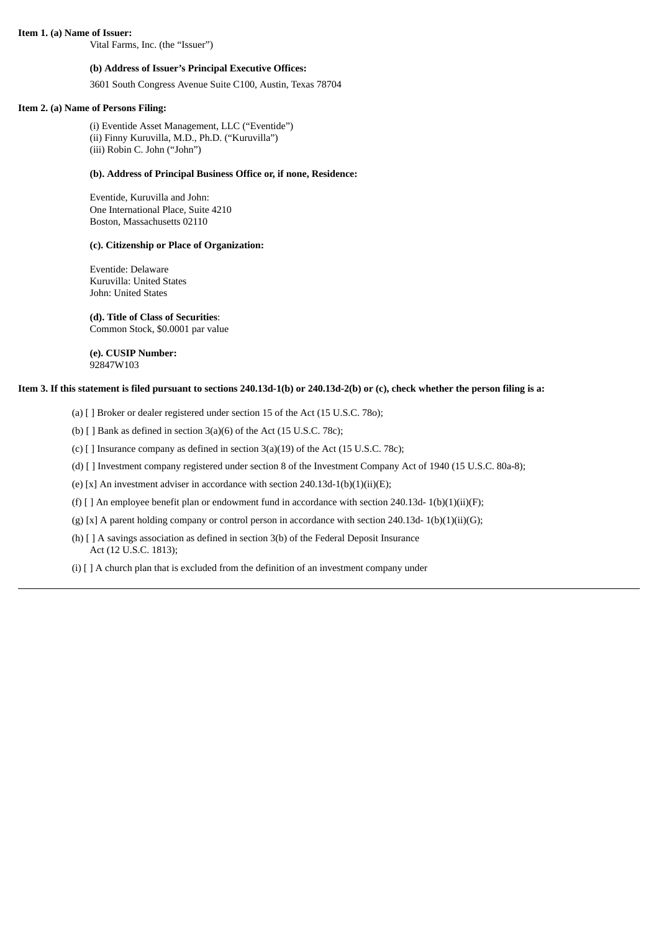**Item 1. (a) Name of Issuer:**

Vital Farms, Inc. (the "Issuer")

## **(b) Address of Issuer's Principal Executive Offices:**

3601 South Congress Avenue Suite C100, Austin, Texas 78704

## **Item 2. (a) Name of Persons Filing:**

(i) Eventide Asset Management, LLC ("Eventide") (ii) Finny Kuruvilla, M.D., Ph.D. ("Kuruvilla") (iii) Robin C. John ("John")

### **(b). Address of Principal Business Office or, if none, Residence:**

Eventide, Kuruvilla and John: One International Place, Suite 4210 Boston, Massachusetts 02110

## **(c). Citizenship or Place of Organization:**

Eventide: Delaware Kuruvilla: United States John: United States

# **(d). Title of Class of Securities**:

Common Stock, \$0.0001 par value

**(e). CUSIP Number:** 92847W103

## Item 3. If this statement is filed pursuant to sections 240.13d-1(b) or 240.13d-2(b) or (c), check whether the person filing is a:

(a) [ ] Broker or dealer registered under section 15 of the Act (15 U.S.C. 78o);

(b)  $\lceil$  ] Bank as defined in section 3(a)(6) of the Act (15 U.S.C. 78c);

(c) [ ] Insurance company as defined in section 3(a)(19) of the Act (15 U.S.C. 78c);

(d) [ ] Investment company registered under section 8 of the Investment Company Act of 1940 (15 U.S.C. 80a-8);

(e) [x] An investment adviser in accordance with section 240.13d-1(b)(1)(ii)(E);

(f)  $[ ]$  An employee benefit plan or endowment fund in accordance with section 240.13d- 1(b)(1)(ii)(F);

(g) [x] A parent holding company or control person in accordance with section 240.13d- 1(b)(1)(ii)(G);

(h) [ ] A savings association as defined in section 3(b) of the Federal Deposit Insurance Act (12 U.S.C. 1813);

(i) [ ] A church plan that is excluded from the definition of an investment company under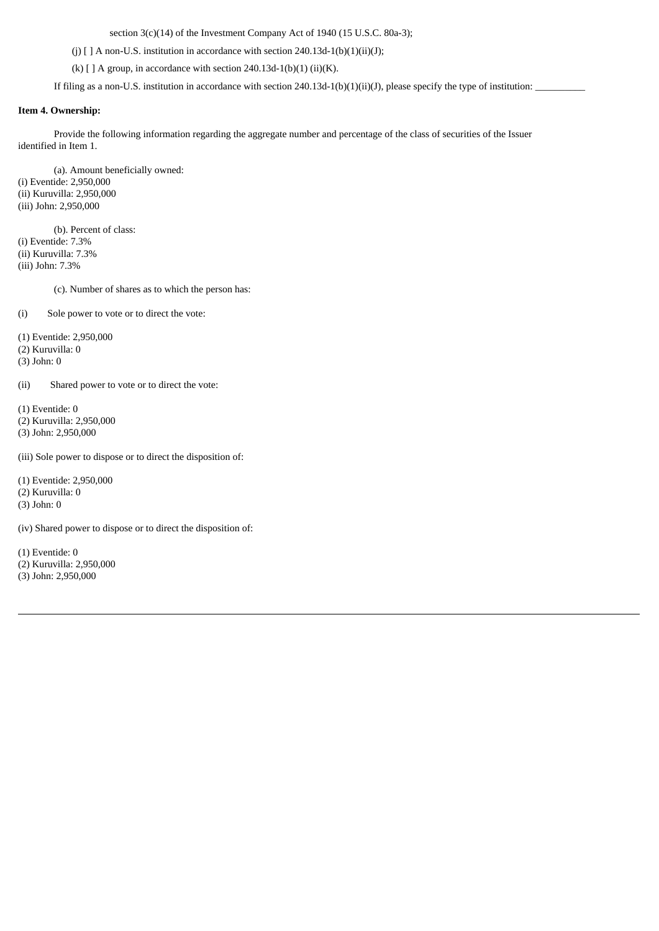section 3(c)(14) of the Investment Company Act of 1940 (15 U.S.C. 80a-3);

(j)  $[ ] A non-U.S.$  institution in accordance with section 240.13d-1(b)(1)(ii)(J);

(k)  $[ ] A$  group, in accordance with section 240.13d-1(b)(1) (ii)(K).

If filing as a non-U.S. institution in accordance with section 240.13d-1(b)(1)(ii)(J), please specify the type of institution:

## **Item 4. Ownership:**

Provide the following information regarding the aggregate number and percentage of the class of securities of the Issuer identified in Item 1.

(a). Amount beneficially owned: (i) Eventide: 2,950,000 (ii) Kuruvilla: 2,950,000 (iii) John: 2,950,000

(b). Percent of class: (i) Eventide: 7.3% (ii) Kuruvilla: 7.3% (iii) John: 7.3%

(c). Number of shares as to which the person has:

(i) Sole power to vote or to direct the vote:

(1) Eventide: 2,950,000

(2) Kuruvilla: 0

(3) John: 0

(ii) Shared power to vote or to direct the vote:

(1) Eventide: 0

(2) Kuruvilla: 2,950,000

(3) John: 2,950,000

(iii) Sole power to dispose or to direct the disposition of:

(1) Eventide: 2,950,000

(2) Kuruvilla: 0

(3) John: 0

(iv) Shared power to dispose or to direct the disposition of:

(1) Eventide: 0

- (2) Kuruvilla: 2,950,000
- (3) John: 2,950,000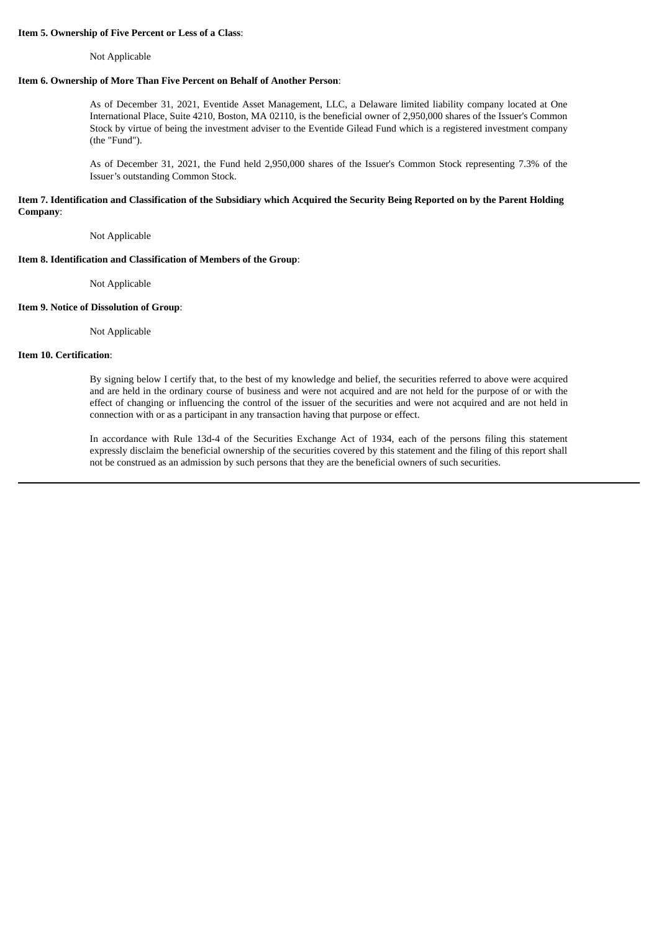### **Item 5. Ownership of Five Percent or Less of a Class**:

Not Applicable

## **Item 6. Ownership of More Than Five Percent on Behalf of Another Person**:

As of December 31, 2021, Eventide Asset Management, LLC, a Delaware limited liability company located at One International Place, Suite 4210, Boston, MA 02110, is the beneficial owner of 2,950,000 shares of the Issuer's Common Stock by virtue of being the investment adviser to the Eventide Gilead Fund which is a registered investment company (the "Fund").

As of December 31, 2021, the Fund held 2,950,000 shares of the Issuer's Common Stock representing 7.3% of the Issuer's outstanding Common Stock.

## Item 7. Identification and Classification of the Subsidiary which Acquired the Security Being Reported on by the Parent Holding **Company**:

Not Applicable

# **Item 8. Identification and Classification of Members of the Group**:

Not Applicable

# **Item 9. Notice of Dissolution of Group**:

Not Applicable

# **Item 10. Certification**:

By signing below I certify that, to the best of my knowledge and belief, the securities referred to above were acquired and are held in the ordinary course of business and were not acquired and are not held for the purpose of or with the effect of changing or influencing the control of the issuer of the securities and were not acquired and are not held in connection with or as a participant in any transaction having that purpose or effect.

In accordance with Rule 13d-4 of the Securities Exchange Act of 1934, each of the persons filing this statement expressly disclaim the beneficial ownership of the securities covered by this statement and the filing of this report shall not be construed as an admission by such persons that they are the beneficial owners of such securities.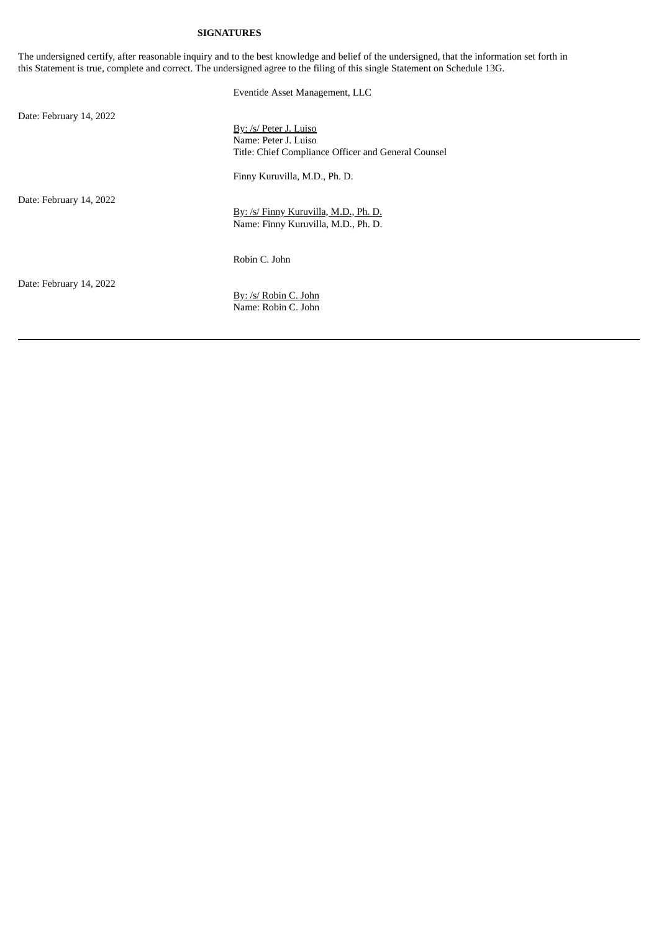# **SIGNATURES**

The undersigned certify, after reasonable inquiry and to the best knowledge and belief of the undersigned, that the information set forth in this Statement is true, complete and correct. The undersigned agree to the filing of this single Statement on Schedule 13G.

Eventide Asset Management, LLC

Date: February 14, 2022

By: /s/ Peter J. Luiso Name: Peter J. Luiso Title: Chief Compliance Officer and General Counsel

Finny Kuruvilla, M.D., Ph. D.

Date: February 14, 2022

By: /s/ Finny Kuruvilla, M.D., Ph. D. Name: Finny Kuruvilla, M.D., Ph. D.

Robin C. John

Date: February 14, 2022

By: /s/ Robin C. John Name: Robin C. John